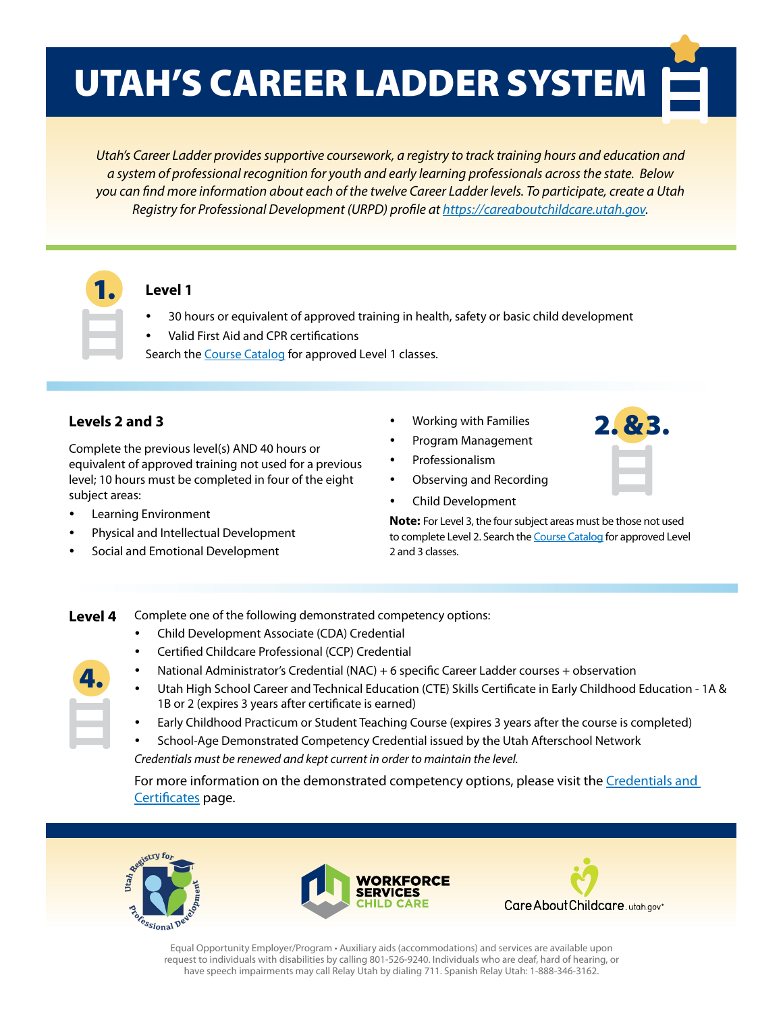## UTAH'S CAREER LADDER SYSTEM

*Utah's Career Ladder provides supportive coursework, a registry to track training hours and education and a system of professional recognition for youth and early learning professionals across the state. Below you can find more information about each of the twelve Career Ladder levels. To participate, create a Utah Registry for Professional Development (URPD) profile at [https://careaboutchildcare.utah.gov.](https://careaboutchildcare.utah.gov)*



#### **Level 1**

- 30 hours or equivalent of approved training in health, safety or basic child development
- Valid First Aid and CPR certifications
- Search the [Course Catalog](https://jobs.utah.gov/jsp/cac/catalog) for approved Level 1 classes.

#### **Levels 2 and 3**

Complete the previous level(s) AND 40 hours or equivalent of approved training not used for a previous level; 10 hours must be completed in four of the eight subject areas:

- Learning Environment
- Physical and Intellectual Development
- Social and Emotional Development
- Working with Families
	- Program Management
- Professionalism
- Observing and Recording
- Child Development

**Note:** For Level 3, the four subject areas must be those not used to complete Level 2. Search the [Course Catalog](https://jobs.utah.gov/jsp/cac/catalog) for approved Level 2 and 3 classes.

2. & 3.

#### **Level 4**

4.

- Child Development Associate (CDA) Credential
- Certified Childcare Professional (CCP) Credential
- National Administrator's Credential (NAC) + 6 specific Career Ladder courses + observation
- Utah High School Career and Technical Education (CTE) Skills Certificate in Early Childhood Education 1A & 1B or 2 (expires 3 years after certificate is earned)
	- Early Childhood Practicum or Student Teaching Course (expires 3 years after the course is completed)
- School-Age Demonstrated Competency Credential issued by the Utah Afterschool Network

*Credentials must be renewed and kept current in order to maintain the level.*

Complete one of the following demonstrated competency options:

For more information on the demonstrated competency options, please visit the [Credentials and](https://jobs.utah.gov/occ/urpd/credentials.html)  [Certificates](https://jobs.utah.gov/occ/urpd/credentials.html) page.







Equal Opportunity Employer/Program • Auxiliary aids (accommodations) and services are available upon request to individuals with disabilities by calling 801-526-9240. Individuals who are deaf, hard of hearing, or have speech impairments may call Relay Utah by dialing 711. Spanish Relay Utah: 1-888-346-3162.